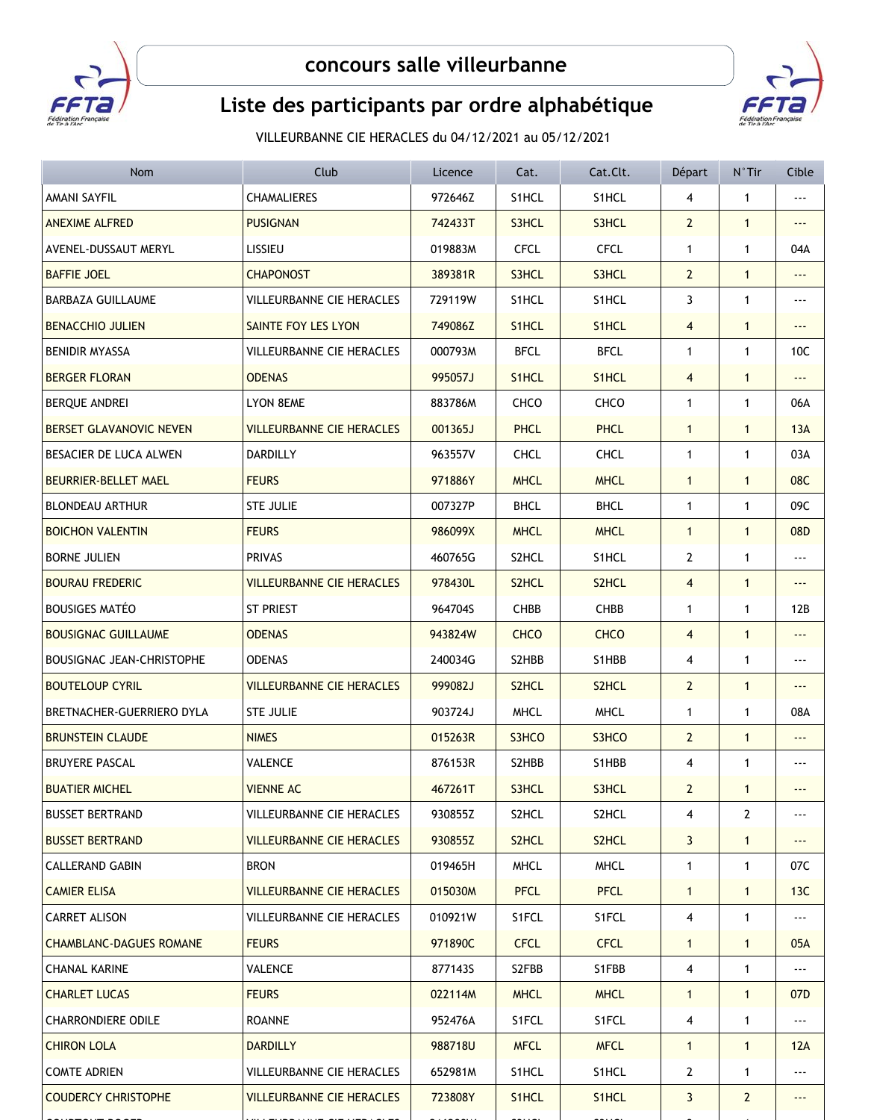

## **concours salle villeurbanne**



## Liste des participants par ordre alphabétique

VILLEURBANNE CIE HERACLES du 04/12/2021 au 05/12/2021

| Nom                            | Club                             | Licence | Cat.               | Cat.Clt.    | Départ         | $N^{\circ}$ Tir | Cible                    |
|--------------------------------|----------------------------------|---------|--------------------|-------------|----------------|-----------------|--------------------------|
| <b>AMANI SAYFIL</b>            | <b>CHAMALIERES</b>               | 972646Z | S1HCL              | S1HCL       | 4              | 1               |                          |
| <b>ANEXIME ALFRED</b>          | <b>PUSIGNAN</b>                  | 742433T | S3HCL              | S3HCL       | $\overline{2}$ | $\mathbf{1}$    |                          |
| AVENEL-DUSSAUT MERYL           | LISSIEU                          | 019883M | <b>CFCL</b>        | <b>CFCL</b> | 1              | 1               | 04A                      |
| <b>BAFFIE JOEL</b>             | <b>CHAPONOST</b>                 | 389381R | S3HCL              | S3HCL       | $\overline{2}$ | $\mathbf{1}$    | ---                      |
| <b>BARBAZA GUILLAUME</b>       | VILLEURBANNE CIE HERACLES        | 729119W | S1HCL              | S1HCL       | 3              | $\mathbf{1}$    |                          |
| <b>BENACCHIO JULIEN</b>        | SAINTE FOY LES LYON              | 749086Z | S <sub>1</sub> HCL | S1HCL       | $\overline{4}$ | $\mathbf{1}$    | $- - -$                  |
| <b>BENIDIR MYASSA</b>          | VILLEURBANNE CIE HERACLES        | 000793M | <b>BFCL</b>        | <b>BFCL</b> | 1              | $\mathbf{1}$    | 10C                      |
| <b>BERGER FLORAN</b>           | <b>ODENAS</b>                    | 995057J | S <sub>1</sub> HCL | S1HCL       | 4              | $\mathbf{1}$    | ---                      |
| BERQUE ANDREI                  | LYON 8EME                        | 883786M | CHCO               | CHCO        | 1              | $\mathbf{1}$    | 06A                      |
| BERSET GLAVANOVIC NEVEN        | <b>VILLEURBANNE CIE HERACLES</b> | 001365J | <b>PHCL</b>        | <b>PHCL</b> | $\mathbf{1}$   | $\mathbf{1}$    | 13A                      |
| BESACIER DE LUCA ALWEN         | <b>DARDILLY</b>                  | 963557V | <b>CHCL</b>        | <b>CHCL</b> | $\mathbf{1}$   | $\mathbf{1}$    | 03A                      |
| <b>BEURRIER-BELLET MAEL</b>    | <b>FEURS</b>                     | 971886Y | <b>MHCL</b>        | <b>MHCL</b> | $\mathbf{1}$   | $\mathbf{1}$    | 08C                      |
| <b>BLONDEAU ARTHUR</b>         | <b>STE JULIE</b>                 | 007327P | <b>BHCL</b>        | <b>BHCL</b> | 1              | $\mathbf{1}$    | 09C                      |
| <b>BOICHON VALENTIN</b>        | <b>FEURS</b>                     | 986099X | <b>MHCL</b>        | <b>MHCL</b> | $\mathbf{1}$   | $\mathbf{1}$    | 08D                      |
| <b>BORNE JULIEN</b>            | <b>PRIVAS</b>                    | 460765G | S2HCL              | S1HCL       | 2              | $\mathbf{1}$    | $\ddotsc$                |
| <b>BOURAU FREDERIC</b>         | <b>VILLEURBANNE CIE HERACLES</b> | 978430L | S <sub>2</sub> HCL | S2HCL       | 4              | $\mathbf{1}$    |                          |
| <b>BOUSIGES MATÉO</b>          | ST PRIEST                        | 964704S | <b>CHBB</b>        | CHBB        | 1              | 1               | 12B                      |
| <b>BOUSIGNAC GUILLAUME</b>     | <b>ODENAS</b>                    | 943824W | <b>CHCO</b>        | <b>CHCO</b> | 4              | $\mathbf{1}$    | $\overline{\phantom{a}}$ |
| BOUSIGNAC JEAN-CHRISTOPHE      | <b>ODENAS</b>                    | 240034G | S2HBB              | S1HBB       | 4              | $\mathbf{1}$    | ---                      |
| <b>BOUTELOUP CYRIL</b>         | <b>VILLEURBANNE CIE HERACLES</b> | 999082J | S <sub>2</sub> HCL | S2HCL       | $\overline{2}$ | $\mathbf{1}$    | ---                      |
| BRETNACHER-GUERRIERO DYLA      | <b>STE JULIE</b>                 | 903724J | <b>MHCL</b>        | <b>MHCL</b> | $\mathbf{1}$   | $\mathbf{1}$    | 08A                      |
| <b>BRUNSTEIN CLAUDE</b>        | <b>NIMES</b>                     | 015263R | S3HCO              | S3HCO       | $\overline{2}$ | $\mathbf{1}$    | ---                      |
| <b>BRUYERE PASCAL</b>          | VALENCE                          | 876153R | S2HBB              | S1HBB       | 4              | 1               | ---                      |
| <b>BUATIER MICHEL</b>          | <b>VIENNE AC</b>                 | 467261T | S3HCL              | S3HCL       | $\mathbf{2}$   | $\mathbf{1}$    | ---                      |
| <b>BUSSET BERTRAND</b>         | VILLEURBANNE CIE HERACLES        | 930855Z | S2HCL              | S2HCL       | 4              | 2               |                          |
| <b>BUSSET BERTRAND</b>         | <b>VILLEURBANNE CIE HERACLES</b> | 930855Z | S2HCL              | S2HCL       | 3              | $\mathbf{1}$    | ---                      |
| <b>CALLERAND GABIN</b>         | <b>BRON</b>                      | 019465H | <b>MHCL</b>        | <b>MHCL</b> | 1              | $\mathbf{1}$    | 07C                      |
| <b>CAMIER ELISA</b>            | <b>VILLEURBANNE CIE HERACLES</b> | 015030M | <b>PFCL</b>        | <b>PFCL</b> | $\mathbf{1}$   | $\mathbf{1}$    | 13C                      |
| CARRET ALISON                  | VILLEURBANNE CIE HERACLES        | 010921W | S1FCL              | S1FCL       | 4              | 1               |                          |
| <b>CHAMBLANC-DAGUES ROMANE</b> | <b>FEURS</b>                     | 971890C | <b>CFCL</b>        | <b>CFCL</b> | $\mathbf{1}$   | $\mathbf{1}$    | 05A                      |
| <b>CHANAL KARINE</b>           | VALENCE                          | 877143S | S2FBB              | S1FBB       | 4              | $\mathbf{1}$    | ---                      |
| <b>CHARLET LUCAS</b>           | <b>FEURS</b>                     | 022114M | <b>MHCL</b>        | <b>MHCL</b> | $\mathbf{1}$   | $\mathbf{1}$    | 07 <sub>D</sub>          |
| CHARRONDIERE ODILE             | <b>ROANNE</b>                    | 952476A | S1FCL              | S1FCL       | 4              | 1               | ---                      |
| <b>CHIRON LOLA</b>             | <b>DARDILLY</b>                  | 988718U | <b>MFCL</b>        | <b>MFCL</b> | $\mathbf{1}$   | $\mathbf{1}$    | 12A                      |
| <b>COMTE ADRIEN</b>            | VILLEURBANNE CIE HERACLES        | 652981M | S1HCL              | S1HCL       | $\mathbf{2}$   | $\mathbf{1}$    | ---                      |
| <b>COUDERCY CHRISTOPHE</b>     | <b>VILLEURBANNE CIE HERACLES</b> | 723808Y | S <sub>1</sub> HCL | S1HCL       | 3              | $\mathbf{2}$    | $--$                     |
|                                |                                  |         |                    |             |                |                 |                          |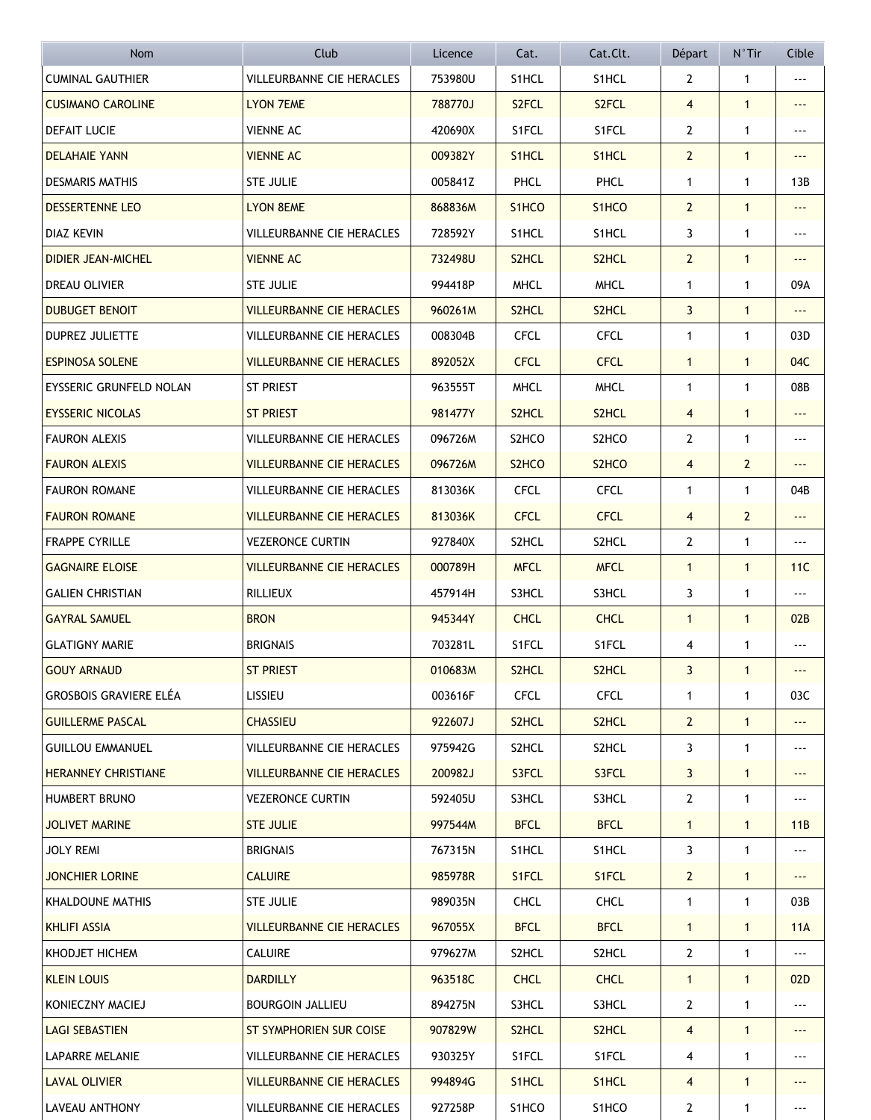| <b>Nom</b>                    | Club                             | Licence | Cat.                           | Cat.Clt.           | Départ         | $N^{\circ}$ Tir | Cible                    |
|-------------------------------|----------------------------------|---------|--------------------------------|--------------------|----------------|-----------------|--------------------------|
| <b>CUMINAL GAUTHIER</b>       | <b>VILLEURBANNE CIE HERACLES</b> | 753980U | S1HCL                          | S1HCL              | 2              | $\mathbf{1}$    | ---                      |
| <b>CUSIMANO CAROLINE</b>      | <b>LYON 7EME</b>                 | 788770J | S <sub>2</sub> FCL             | S <sub>2</sub> FCL | $\overline{4}$ | $\mathbf{1}$    | ---                      |
| <b>DEFAIT LUCIE</b>           | <b>VIENNE AC</b>                 | 420690X | S1FCL                          | S1FCL              | $\mathbf{2}$   | $\mathbf{1}$    | $\ddotsc$                |
| <b>DELAHAIE YANN</b>          | <b>VIENNE AC</b>                 | 009382Y | S1HCL                          | S1HCL              | $\overline{2}$ | $\mathbf{1}$    | $\overline{\phantom{a}}$ |
| <b>DESMARIS MATHIS</b>        | <b>STE JULIE</b>                 | 005841Z | PHCL                           | PHCL               | $\mathbf{1}$   | $\mathbf{1}$    | 13B                      |
| <b>DESSERTENNE LEO</b>        | <b>LYON 8EME</b>                 | 868836M | S <sub>1</sub> HCO             | S <sub>1</sub> HCO | $\overline{2}$ | $\mathbf{1}$    | ---                      |
| <b>DIAZ KEVIN</b>             | VILLEURBANNE CIE HERACLES        | 728592Y | S1HCL                          | S1HCL              | 3              | $\mathbf{1}$    | $\ddotsc$                |
| <b>DIDIER JEAN-MICHEL</b>     | <b>VIENNE AC</b>                 | 732498U | S2HCL                          | S2HCL              | $\overline{2}$ | $\mathbf{1}$    | $\overline{\phantom{a}}$ |
| DREAU OLIVIER                 | <b>STE JULIE</b>                 | 994418P | <b>MHCL</b>                    | <b>MHCL</b>        | $\mathbf{1}$   | 1               | 09A                      |
| <b>DUBUGET BENOIT</b>         | <b>VILLEURBANNE CIE HERACLES</b> | 960261M | S <sub>2</sub> HCL             | S <sub>2</sub> HCL | 3              | $\mathbf{1}$    | $- - -$                  |
| <b>DUPREZ JULIETTE</b>        | <b>VILLEURBANNE CIE HERACLES</b> | 008304B | <b>CFCL</b>                    | <b>CFCL</b>        | $\mathbf{1}$   | $\mathbf{1}$    | 03D                      |
| <b>ESPINOSA SOLENE</b>        | <b>VILLEURBANNE CIE HERACLES</b> | 892052X | <b>CFCL</b>                    | <b>CFCL</b>        | $\mathbf{1}$   | $\mathbf{1}$    | 04C                      |
| EYSSERIC GRUNFELD NOLAN       | ST PRIEST                        | 963555T | <b>MHCL</b>                    | <b>MHCL</b>        | $\mathbf{1}$   | $\mathbf{1}$    | 08B                      |
| <b>EYSSERIC NICOLAS</b>       | <b>ST PRIEST</b>                 | 981477Y | S2HCL                          | S <sub>2</sub> HCL | $\overline{4}$ | $\mathbf{1}$    |                          |
| <b>FAURON ALEXIS</b>          | VILLEURBANNE CIE HERACLES        | 096726M | S2HCO                          | S2HCO              | $\mathbf{2}$   | $\mathbf{1}$    | $\ddotsc$                |
| <b>FAURON ALEXIS</b>          | <b>VILLEURBANNE CIE HERACLES</b> | 096726M | S <sub>2</sub> HC <sub>O</sub> | S <sub>2</sub> HCO | $\overline{4}$ | $\overline{2}$  | ---                      |
| <b>FAURON ROMANE</b>          | VILLEURBANNE CIE HERACLES        | 813036K | <b>CFCL</b>                    | <b>CFCL</b>        | $\mathbf{1}$   | $\mathbf{1}$    | 04B                      |
| <b>FAURON ROMANE</b>          | <b>VILLEURBANNE CIE HERACLES</b> | 813036K | <b>CFCL</b>                    | <b>CFCL</b>        | $\overline{4}$ | $\overline{2}$  | ---                      |
| <b>FRAPPE CYRILLE</b>         | <b>VEZERONCE CURTIN</b>          | 927840X | S2HCL                          | S2HCL              | $\mathbf{2}$   | 1               | ---                      |
| <b>GAGNAIRE ELOISE</b>        | <b>VILLEURBANNE CIE HERACLES</b> | 000789H | <b>MFCL</b>                    | <b>MFCL</b>        | $\mathbf{1}$   | $\mathbf{1}$    | 11C                      |
| <b>GALIEN CHRISTIAN</b>       | RILLIEUX                         | 457914H | S3HCL                          | S3HCL              | 3              | 1               | ---                      |
| <b>GAYRAL SAMUEL</b>          | <b>BRON</b>                      | 945344Y | <b>CHCL</b>                    | <b>CHCL</b>        | $\mathbf{1}$   | $\mathbf{1}$    | 02B                      |
| <b>GLATIGNY MARIE</b>         | <b>BRIGNAIS</b>                  | 703281L | S1FCL                          | S1FCL              | 4              | 1               |                          |
| <b>GOUY ARNAUD</b>            | <b>ST PRIEST</b>                 | 010683M | S <sub>2</sub> HCL             | S <sub>2</sub> HCL | 3              | $\mathbf{1}$    | ---                      |
| <b>GROSBOIS GRAVIERE ELÉA</b> | LISSIEU                          | 003616F | <b>CFCL</b>                    | <b>CFCL</b>        | 1              | 1               | 03C                      |
| <b>GUILLERME PASCAL</b>       | <b>CHASSIEU</b>                  | 922607J | S2HCL                          | S2HCL              | $\mathbf{2}$   | $\mathbf{1}$    |                          |
| <b>GUILLOU EMMANUEL</b>       | VILLEURBANNE CIE HERACLES        | 975942G | S2HCL                          | S2HCL              | 3              | $\mathbf{1}$    | ---                      |
| <b>HERANNEY CHRISTIANE</b>    | <b>VILLEURBANNE CIE HERACLES</b> | 200982J | S3FCL                          | S3FCL              | 3              | $\mathbf{1}$    | $--$                     |
| <b>HUMBERT BRUNO</b>          | <b>VEZERONCE CURTIN</b>          | 592405U | S3HCL                          | S3HCL              | $\mathbf{2}$   | $\mathbf{1}$    | $- - -$                  |
| <b>JOLIVET MARINE</b>         | <b>STE JULIE</b>                 | 997544M | <b>BFCL</b>                    | <b>BFCL</b>        | $\mathbf{1}$   | $\mathbf{1}$    | 11B                      |
| JOLY REMI                     | <b>BRIGNAIS</b>                  | 767315N | S1HCL                          | S1HCL              | 3              | $\mathbf{1}$    | ---                      |
| JONCHIER LORINE               | <b>CALUIRE</b>                   | 985978R | S1FCL                          | S1FCL              | $\overline{2}$ | $\mathbf{1}$    | ---                      |
| KHALDOUNE MATHIS              | STE JULIE                        | 989035N | <b>CHCL</b>                    | <b>CHCL</b>        | $\mathbf{1}$   | $\mathbf{1}$    | 03B                      |
| <b>KHLIFI ASSIA</b>           | <b>VILLEURBANNE CIE HERACLES</b> | 967055X | <b>BFCL</b>                    | <b>BFCL</b>        | $\mathbf{1}$   | $\mathbf{1}$    | 11A                      |
| KHODJET HICHEM                | <b>CALUIRE</b>                   | 979627M | S2HCL                          | S2HCL              | $\mathbf{2}$   | 1               |                          |
| <b>KLEIN LOUIS</b>            | <b>DARDILLY</b>                  | 963518C | <b>CHCL</b>                    | <b>CHCL</b>        | $\mathbf{1}$   | $\mathbf{1}$    | 02D                      |
| KONIECZNY MACIEJ              | <b>BOURGOIN JALLIEU</b>          | 894275N | S3HCL                          | S3HCL              | 2              | $\mathbf{1}$    |                          |
| <b>LAGI SEBASTIEN</b>         | ST SYMPHORIEN SUR COISE          | 907829W | S <sub>2</sub> HCL             | S <sub>2</sub> HCL | 4              | $\mathbf{1}$    |                          |
| LAPARRE MELANIE               | VILLEURBANNE CIE HERACLES        | 930325Y | S1FCL                          | S1FCL              | 4              | $\mathbf{1}$    | $- - -$                  |
| <b>LAVAL OLIVIER</b>          | <b>VILLEURBANNE CIE HERACLES</b> | 994894G | S1HCL                          | S1HCL              | 4              | $\mathbf{1}$    | $- - -$                  |
| LAVEAU ANTHONY                | VILLEURBANNE CIE HERACLES        | 927258P | S1HCO                          | S1HCO              | $\mathbf{2}$   | 1               | ---                      |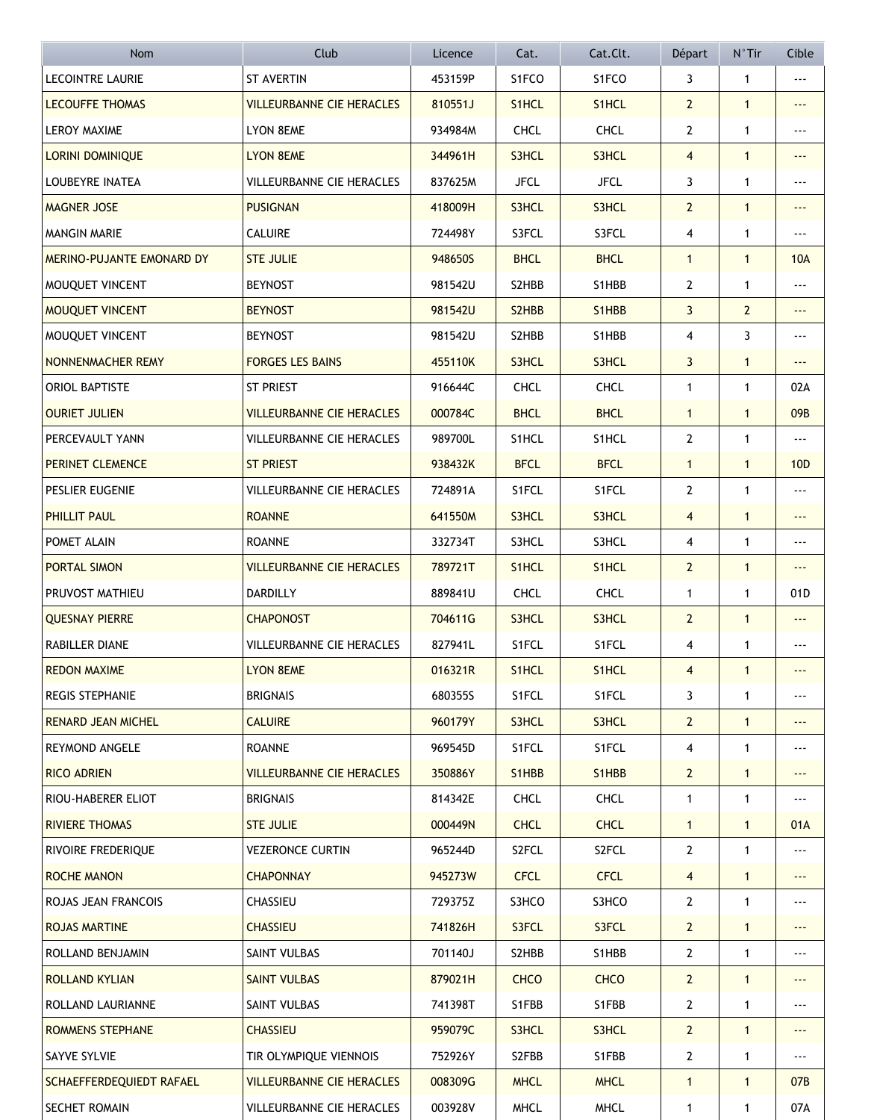| <b>Nom</b>                | Club                             | Licence | Cat.                            | Cat.Clt.                        | Départ         | $N^{\circ}$ Tir | Cible                    |
|---------------------------|----------------------------------|---------|---------------------------------|---------------------------------|----------------|-----------------|--------------------------|
| <b>LECOINTRE LAURIE</b>   | <b>ST AVERTIN</b>                | 453159P | S1FCO                           | S1FCO                           | 3              | $\mathbf{1}$    | ---                      |
| <b>LECOUFFE THOMAS</b>    | <b>VILLEURBANNE CIE HERACLES</b> | 810551J | S <sub>1</sub> HCL              | S <sub>1</sub> HCL              | $\mathbf{2}$   | $\mathbf{1}$    | ---                      |
| <b>LEROY MAXIME</b>       | <b>LYON 8EME</b>                 | 934984M | <b>CHCL</b>                     | <b>CHCL</b>                     | $\mathbf{2}$   | $\mathbf{1}$    | $\ddotsc$                |
| <b>LORINI DOMINIQUE</b>   | <b>LYON 8EME</b>                 | 344961H | S3HCL                           | S3HCL                           | $\overline{4}$ | $\mathbf{1}$    | $\overline{\phantom{a}}$ |
| LOUBEYRE INATEA           | VILLEURBANNE CIE HERACLES        | 837625M | <b>JFCL</b>                     | <b>JFCL</b>                     | 3              | $\mathbf{1}$    | ---                      |
| <b>MAGNER JOSE</b>        | <b>PUSIGNAN</b>                  | 418009H | S3HCL                           | S3HCL                           | $\overline{2}$ | $\mathbf{1}$    | ---                      |
| <b>MANGIN MARIE</b>       | <b>CALUIRE</b>                   | 724498Y | S3FCL                           | S3FCL                           | 4              | 1               | $\ddotsc$                |
| MERINO-PUJANTE EMONARD DY | <b>STE JULIE</b>                 | 948650S | <b>BHCL</b>                     | <b>BHCL</b>                     | $\mathbf{1}$   | $\mathbf{1}$    | <b>10A</b>               |
| MOUQUET VINCENT           | <b>BEYNOST</b>                   | 981542U | S2HBB                           | S1HBB                           | 2              | 1               |                          |
| MOUQUET VINCENT           | <b>BEYNOST</b>                   | 981542U | S <sub>2</sub> H <sub>B</sub> B | S1HBB                           | 3              | $\overline{2}$  | ---                      |
| MOUQUET VINCENT           | <b>BEYNOST</b>                   | 981542U | S2HBB                           | S1HBB                           | 4              | 3               | $\overline{\phantom{a}}$ |
| NONNENMACHER REMY         | <b>FORGES LES BAINS</b>          | 455110K | S3HCL                           | S3HCL                           | 3              | $\mathbf{1}$    | ---                      |
| ORIOL BAPTISTE            | ST PRIEST                        | 916644C | <b>CHCL</b>                     | <b>CHCL</b>                     | $\mathbf{1}$   | $\mathbf{1}$    | 02A                      |
| <b>OURIET JULIEN</b>      | <b>VILLEURBANNE CIE HERACLES</b> | 000784C | <b>BHCL</b>                     | <b>BHCL</b>                     | $\mathbf{1}$   | $\mathbf{1}$    | 09B                      |
| PERCEVAULT YANN           | VILLEURBANNE CIE HERACLES        | 989700L | S1HCL                           | S1HCL                           | $\mathbf{2}$   | $\mathbf{1}$    | $\ddotsc$                |
| PERINET CLEMENCE          | <b>ST PRIEST</b>                 | 938432K | <b>BFCL</b>                     | <b>BFCL</b>                     | $\mathbf{1}$   | $\mathbf{1}$    | 10 <sub>D</sub>          |
| PESLIER EUGENIE           | VILLEURBANNE CIE HERACLES        | 724891A | S1FCL                           | S1FCL                           | 2              | 1               | $- - -$                  |
| PHILLIT PAUL              | <b>ROANNE</b>                    | 641550M | S3HCL                           | S3HCL                           | 4              | $\mathbf{1}$    |                          |
| POMET ALAIN               | <b>ROANNE</b>                    | 332734T | S3HCL                           | S3HCL                           | 4              | 1               |                          |
| PORTAL SIMON              | <b>VILLEURBANNE CIE HERACLES</b> | 789721T | S <sub>1</sub> HCL              | S <sub>1</sub> HCL              | $\overline{2}$ | $\mathbf{1}$    | ---                      |
| PRUVOST MATHIEU           | DARDILLY                         | 889841U | <b>CHCL</b>                     | <b>CHCL</b>                     | 1              | 1               | 01D                      |
| <b>QUESNAY PIERRE</b>     | <b>CHAPONOST</b>                 | 704611G | S3HCL                           | S3HCL                           | $\overline{2}$ | $\mathbf{1}$    | ---                      |
| RABILLER DIANE            | VILLEURBANNE CIE HERACLES        | 827941L | S1FCL                           | S1FCL                           | 4              | 1               |                          |
| <b>REDON MAXIME</b>       | <b>LYON 8EME</b>                 | 016321R | S <sub>1</sub> HCL              | S1HCL                           | 4              | $\mathbf{1}$    |                          |
| <b>REGIS STEPHANIE</b>    | <b>BRIGNAIS</b>                  | 680355S | S1FCL                           | S1FCL                           | 3              | 1               |                          |
| <b>RENARD JEAN MICHEL</b> | <b>CALUIRE</b>                   | 960179Y | S3HCL                           | S3HCL                           | $\mathbf{2}$   | $\mathbf{1}$    |                          |
| <b>REYMOND ANGELE</b>     | <b>ROANNE</b>                    | 969545D | S1FCL                           | S1FCL                           | 4              | $\mathbf{1}$    | ---                      |
| RICO ADRIEN               | <b>VILLEURBANNE CIE HERACLES</b> | 350886Y | S1HBB                           | S <sub>1</sub> H <sub>B</sub> B | $\mathbf{2}$   | $\mathbf{1}$    | $--$                     |
| RIOU-HABERER ELIOT        | <b>BRIGNAIS</b>                  | 814342E | <b>CHCL</b>                     | <b>CHCL</b>                     | $\mathbf{1}$   | $\mathbf{1}$    | $- - -$                  |
| <b>RIVIERE THOMAS</b>     | <b>STE JULIE</b>                 | 000449N | <b>CHCL</b>                     | <b>CHCL</b>                     | $\mathbf{1}$   | $\mathbf{1}$    | 01A                      |
| RIVOIRE FREDERIQUE        | <b>VEZERONCE CURTIN</b>          | 965244D | S2FCL                           | S2FCL                           | $\mathbf{2}$   | $\mathbf{1}$    | ---                      |
| <b>ROCHE MANON</b>        | <b>CHAPONNAY</b>                 | 945273W | <b>CFCL</b>                     | <b>CFCL</b>                     | 4              | $\mathbf{1}$    | $- - -$                  |
| ROJAS JEAN FRANCOIS       | CHASSIEU                         | 729375Z | S3HCO                           | S3HCO                           | $\mathbf{2}$   | $\mathbf{1}$    | ---                      |
| <b>ROJAS MARTINE</b>      | <b>CHASSIEU</b>                  | 741826H | S3FCL                           | S3FCL                           | $\mathbf{2}$   | $\mathbf{1}$    | ---                      |
| ROLLAND BENJAMIN          | SAINT VULBAS                     | 701140J | S2HBB                           | S1HBB                           | $\mathbf{2}$   | 1               | $- - -$                  |
| ROLLAND KYLIAN            | <b>SAINT VULBAS</b>              | 879021H | <b>CHCO</b>                     | <b>CHCO</b>                     | $\mathbf{2}$   | $\mathbf{1}$    | $- - -$                  |
| ROLLAND LAURIANNE         | SAINT VULBAS                     | 741398T | S1FBB                           | S1FBB                           | $\mathbf{2}$   | $\mathbf{1}$    |                          |
| ROMMENS STEPHANE          | <b>CHASSIEU</b>                  | 959079C | S3HCL                           | S3HCL                           | $\mathbf{2}$   | $\mathbf{1}$    |                          |
| SAYVE SYLVIE              | TIR OLYMPIQUE VIENNOIS           | 752926Y | S2FBB                           | S1FBB                           | 2              | $\mathbf{1}$    | $- - -$                  |
| SCHAEFFERDEQUIEDT RAFAEL  | <b>VILLEURBANNE CIE HERACLES</b> | 008309G | <b>MHCL</b>                     | <b>MHCL</b>                     | $\mathbf{1}$   | $\mathbf{1}$    | 07B                      |
| SECHET ROMAIN             | VILLEURBANNE CIE HERACLES        | 003928V | <b>MHCL</b>                     | <b>MHCL</b>                     | $\mathbf{1}$   | 1               | 07A                      |